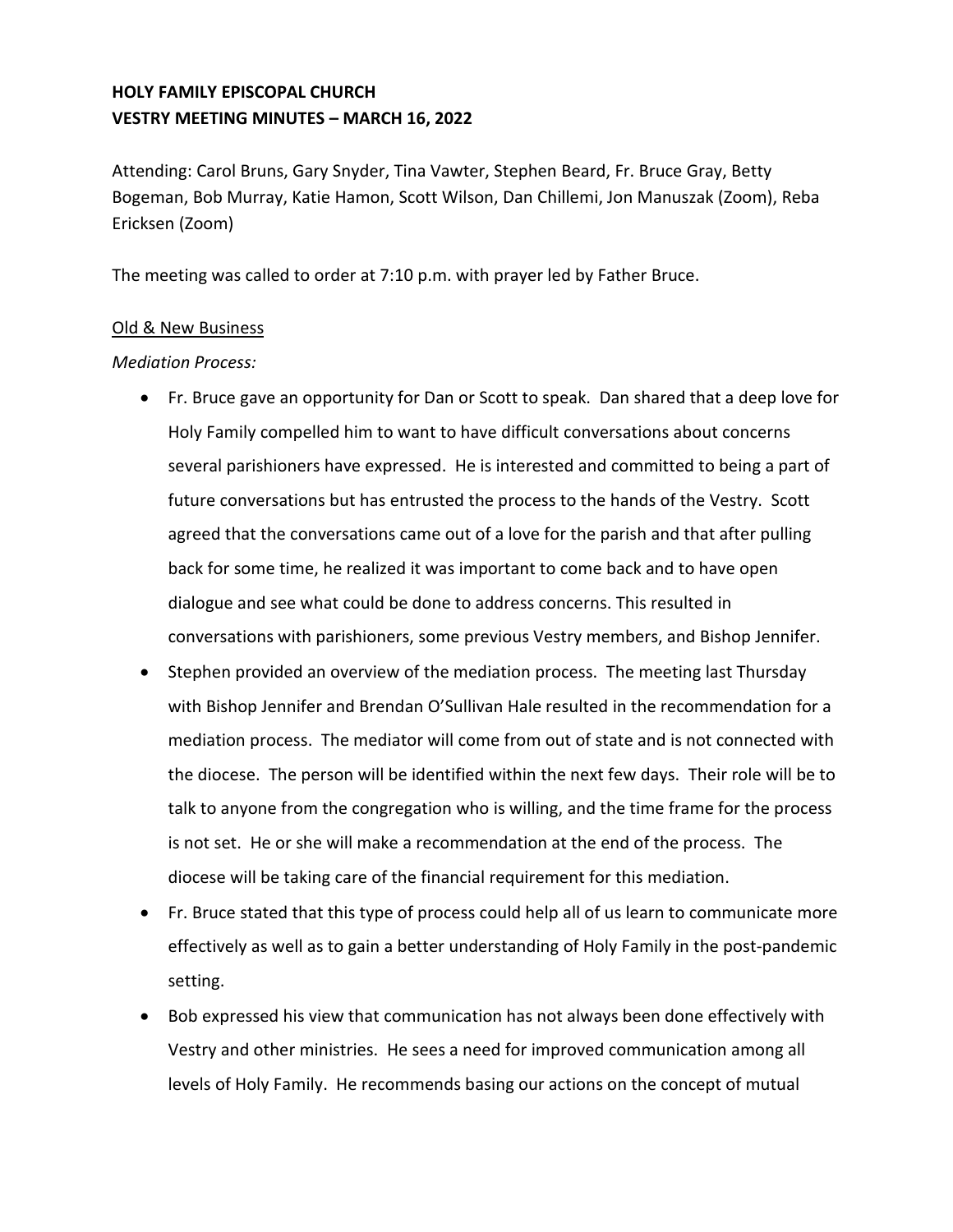# **HOLY FAMILY EPISCOPAL CHURCH VESTRY MEETING MINUTES – MARCH 16, 2022**

Attending: Carol Bruns, Gary Snyder, Tina Vawter, Stephen Beard, Fr. Bruce Gray, Betty Bogeman, Bob Murray, Katie Hamon, Scott Wilson, Dan Chillemi, Jon Manuszak (Zoom), Reba Ericksen (Zoom)

The meeting was called to order at 7:10 p.m. with prayer led by Father Bruce.

### Old & New Business

### *Mediation Process:*

- Fr. Bruce gave an opportunity for Dan or Scott to speak. Dan shared that a deep love for Holy Family compelled him to want to have difficult conversations about concerns several parishioners have expressed. He is interested and committed to being a part of future conversations but has entrusted the process to the hands of the Vestry. Scott agreed that the conversations came out of a love for the parish and that after pulling back for some time, he realized it was important to come back and to have open dialogue and see what could be done to address concerns. This resulted in conversations with parishioners, some previous Vestry members, and Bishop Jennifer.
- Stephen provided an overview of the mediation process. The meeting last Thursday with Bishop Jennifer and Brendan O'Sullivan Hale resulted in the recommendation for a mediation process. The mediator will come from out of state and is not connected with the diocese. The person will be identified within the next few days. Their role will be to talk to anyone from the congregation who is willing, and the time frame for the process is not set. He or she will make a recommendation at the end of the process. The diocese will be taking care of the financial requirement for this mediation.
- Fr. Bruce stated that this type of process could help all of us learn to communicate more effectively as well as to gain a better understanding of Holy Family in the post-pandemic setting.
- Bob expressed his view that communication has not always been done effectively with Vestry and other ministries. He sees a need for improved communication among all levels of Holy Family. He recommends basing our actions on the concept of mutual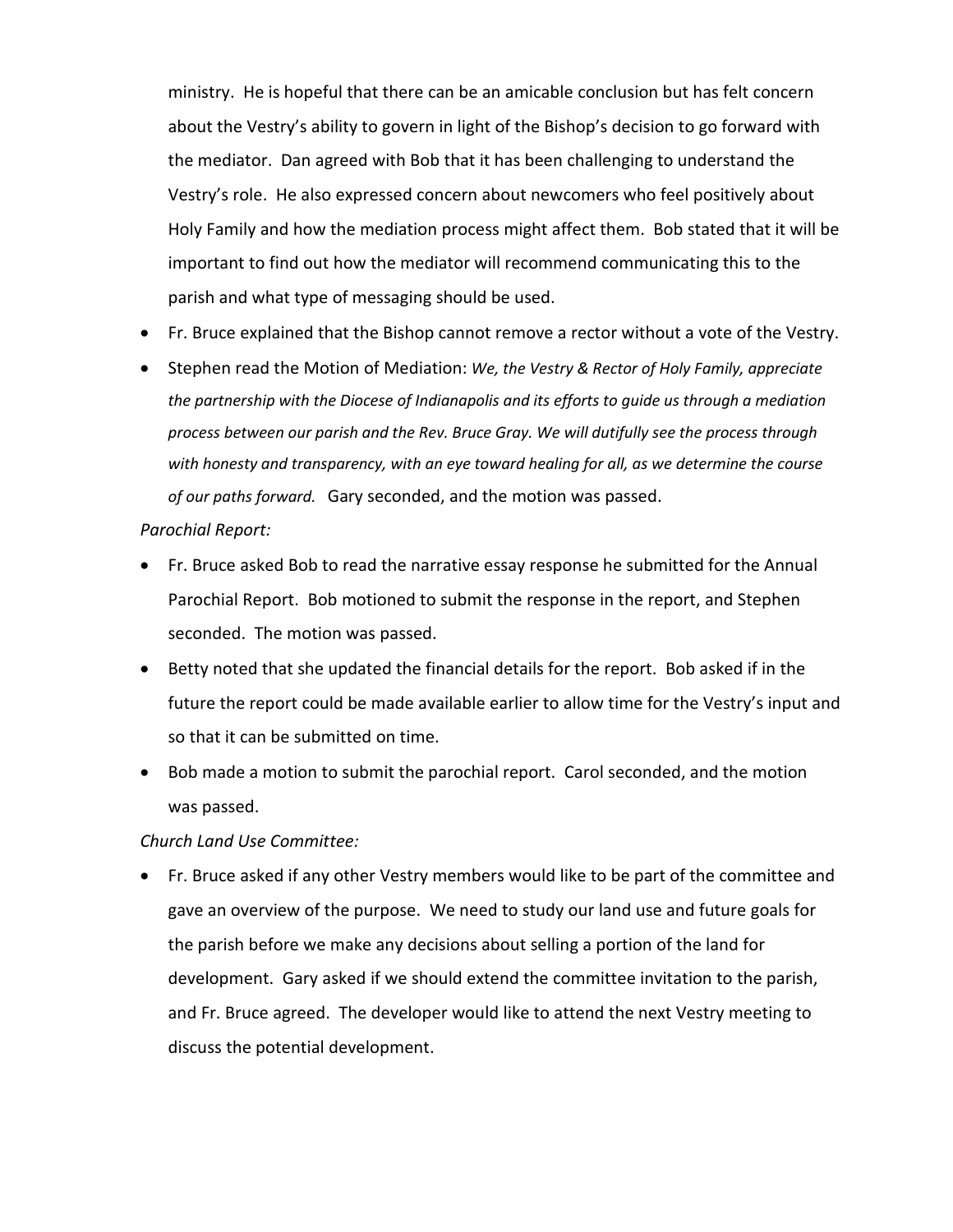ministry. He is hopeful that there can be an amicable conclusion but has felt concern about the Vestry's ability to govern in light of the Bishop's decision to go forward with the mediator. Dan agreed with Bob that it has been challenging to understand the Vestry's role. He also expressed concern about newcomers who feel positively about Holy Family and how the mediation process might affect them. Bob stated that it will be important to find out how the mediator will recommend communicating this to the parish and what type of messaging should be used.

- Fr. Bruce explained that the Bishop cannot remove a rector without a vote of the Vestry.
- Stephen read the Motion of Mediation: *We, the Vestry & Rector of Holy Family, appreciate the partnership with the Diocese of Indianapolis and its efforts to guide us through a mediation process between our parish and the Rev. Bruce Gray. We will dutifully see the process through with honesty and transparency, with an eye toward healing for all, as we determine the course of our paths forward.* Gary seconded, and the motion was passed.

#### *Parochial Report:*

- Fr. Bruce asked Bob to read the narrative essay response he submitted for the Annual Parochial Report. Bob motioned to submit the response in the report, and Stephen seconded. The motion was passed.
- Betty noted that she updated the financial details for the report. Bob asked if in the future the report could be made available earlier to allow time for the Vestry's input and so that it can be submitted on time.
- Bob made a motion to submit the parochial report. Carol seconded, and the motion was passed.

#### *Church Land Use Committee:*

• Fr. Bruce asked if any other Vestry members would like to be part of the committee and gave an overview of the purpose. We need to study our land use and future goals for the parish before we make any decisions about selling a portion of the land for development. Gary asked if we should extend the committee invitation to the parish, and Fr. Bruce agreed. The developer would like to attend the next Vestry meeting to discuss the potential development.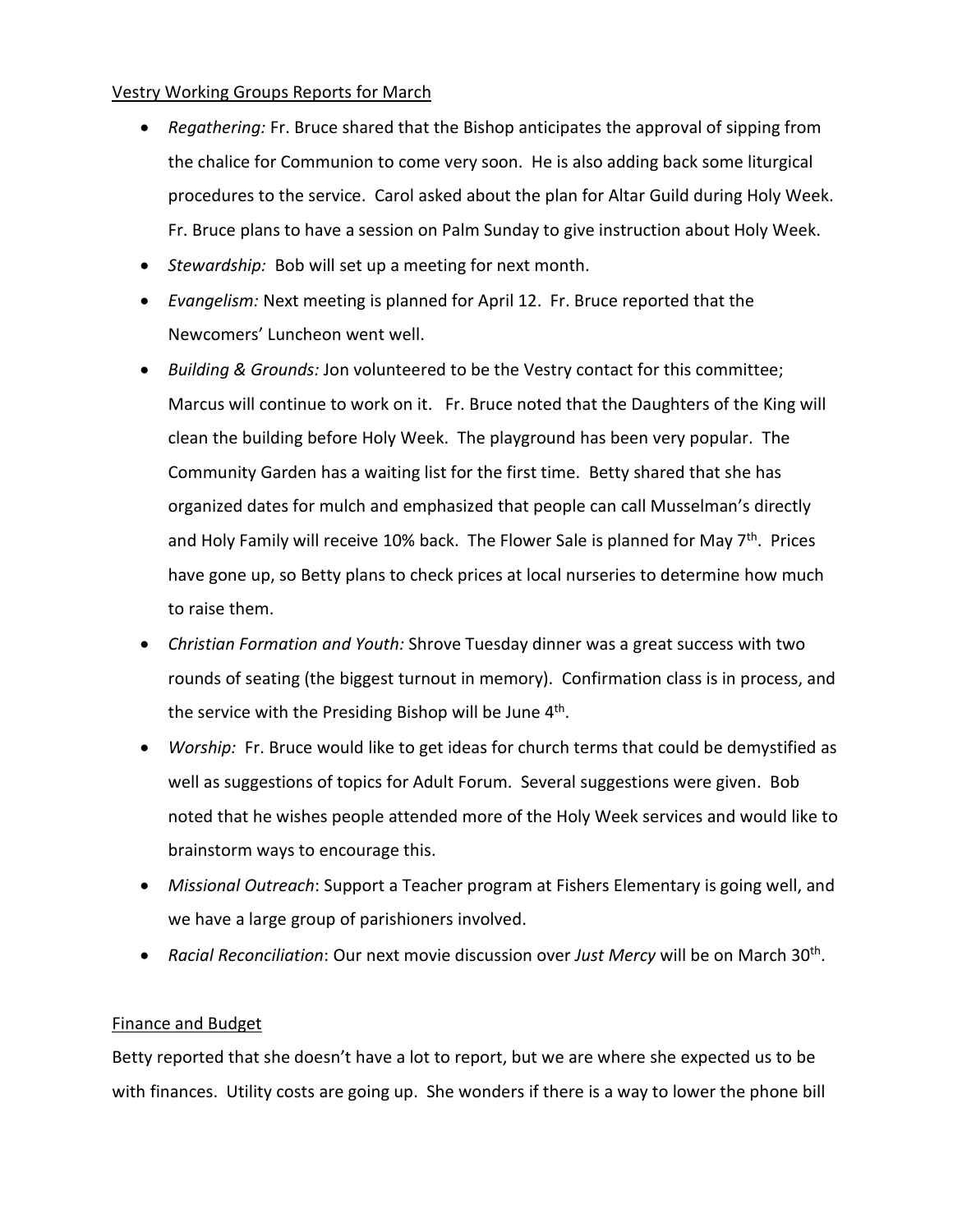### Vestry Working Groups Reports for March

- *Regathering:* Fr. Bruce shared that the Bishop anticipates the approval of sipping from the chalice for Communion to come very soon. He is also adding back some liturgical procedures to the service. Carol asked about the plan for Altar Guild during Holy Week. Fr. Bruce plans to have a session on Palm Sunday to give instruction about Holy Week.
- *Stewardship:* Bob will set up a meeting for next month.
- *Evangelism:* Next meeting is planned for April 12. Fr. Bruce reported that the Newcomers' Luncheon went well.
- *Building & Grounds:* Jon volunteered to be the Vestry contact for this committee; Marcus will continue to work on it. Fr. Bruce noted that the Daughters of the King will clean the building before Holy Week. The playground has been very popular. The Community Garden has a waiting list for the first time. Betty shared that she has organized dates for mulch and emphasized that people can call Musselman's directly and Holy Family will receive 10% back. The Flower Sale is planned for May 7<sup>th</sup>. Prices have gone up, so Betty plans to check prices at local nurseries to determine how much to raise them.
- *Christian Formation and Youth:* Shrove Tuesday dinner was a great success with two rounds of seating (the biggest turnout in memory). Confirmation class is in process, and the service with the Presiding Bishop will be June 4<sup>th</sup>.
- *Worship:* Fr. Bruce would like to get ideas for church terms that could be demystified as well as suggestions of topics for Adult Forum. Several suggestions were given. Bob noted that he wishes people attended more of the Holy Week services and would like to brainstorm ways to encourage this.
- *Missional Outreach*: Support a Teacher program at Fishers Elementary is going well, and we have a large group of parishioners involved.
- *Racial Reconciliation*: Our next movie discussion over *Just Mercy* will be on March 30th .

# Finance and Budget

Betty reported that she doesn't have a lot to report, but we are where she expected us to be with finances. Utility costs are going up. She wonders if there is a way to lower the phone bill